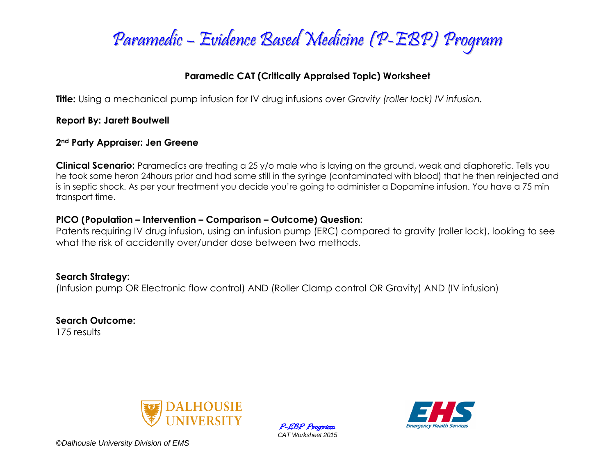

## **Paramedic CAT (Critically Appraised Topic) Worksheet**

**Title:** Using a mechanical pump infusion for IV drug infusions over *Gravity (roller lock) IV infusion.*

**Report By: Jarett Boutwell**

### **2nd Party Appraiser: Jen Greene**

**Clinical Scenario:** Paramedics are treating a 25 y/o male who is laying on the ground, weak and diaphoretic. Tells you he took some heron 24hours prior and had some still in the syringe (contaminated with blood) that he then reinjected and is in septic shock. As per your treatment you decide you're going to administer a Dopamine infusion. You have a 75 min transport time.

## **PICO (Population – Intervention – Comparison – Outcome) Question:**

Patents requiring IV drug infusion, using an infusion pump (ERC) compared to gravity (roller lock), looking to see what the risk of accidently over/under dose between two methods.

**Search Strategy:** (Infusion pump OR Electronic flow control) AND (Roller Clamp control OR Gravity) AND (IV infusion)

**Search Outcome:** 175 results



P-EBP Program *CAT Worksheet 2015*

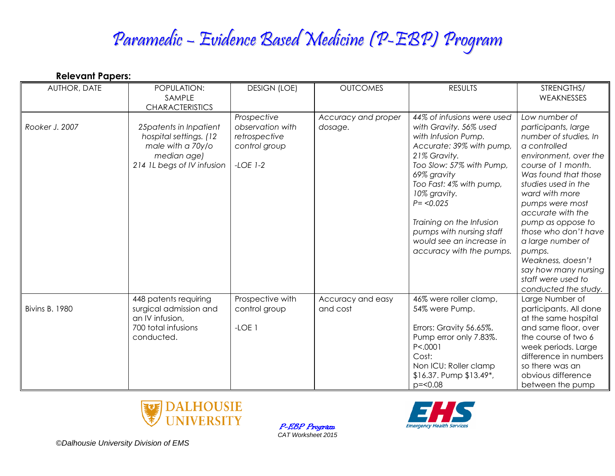# Paramedic – Evidence Based Medicine (P-EBP) Program

| <b>Relevant Papers:</b> |                                                                                                                      |                                                                                 |                                |                                                                                                                                                                                                                                                                                                                                              |                                                                                                                                                                                                                                                                                                                                                                                                              |
|-------------------------|----------------------------------------------------------------------------------------------------------------------|---------------------------------------------------------------------------------|--------------------------------|----------------------------------------------------------------------------------------------------------------------------------------------------------------------------------------------------------------------------------------------------------------------------------------------------------------------------------------------|--------------------------------------------------------------------------------------------------------------------------------------------------------------------------------------------------------------------------------------------------------------------------------------------------------------------------------------------------------------------------------------------------------------|
| AUTHOR, DATE            | POPULATION:<br>SAMPLE<br><b>CHARACTERISTICS</b>                                                                      | <b>DESIGN (LOE)</b>                                                             | <b>OUTCOMES</b>                | <b>RESULTS</b>                                                                                                                                                                                                                                                                                                                               | STRENGTHS/<br>WEAKNESSES                                                                                                                                                                                                                                                                                                                                                                                     |
| Rooker J. 2007          | 25 patents in Inpatient<br>hospital settings. (12)<br>male with a 70y/o<br>median age)<br>214 IL begs of IV infusion | Prospective<br>observation with<br>retrospective<br>control group<br>$-LOE$ 1-2 | Accuracy and proper<br>dosage. | 44% of infusions were used<br>with Gravity. 56% used<br>with Infusion Pump.<br>Accurate: 39% with pump,<br>21% Gravity.<br>Too Slow: 57% with Pump,<br>69% gravity<br>Too Fast: 4% with pump,<br>10% gravity.<br>$P = 0.025$<br>Training on the Infusion<br>pumps with nursing staff<br>would see an increase in<br>accuracy with the pumps. | Low number of<br>participants, large<br>number of studies, In<br>a controlled<br>environment, over the<br>course of 1 month.<br>Was found that those<br>studies used in the<br>ward with more<br>pumps were most<br>accurate with the<br>pump as oppose to<br>those who don't have<br>a large number of<br>pumps.<br>Weakness, doesn't<br>say how many nursing<br>staff were used to<br>conducted the study. |
| <b>Bivins B. 1980</b>   | 448 patents requiring<br>surgical admission and<br>an IV infusion,<br>700 total infusions<br>conducted.              | Prospective with<br>control group<br>$-LOE$ 1                                   | Accuracy and easy<br>and cost  | 46% were roller clamp,<br>54% were Pump.<br>Errors: Gravity 56.65%,<br>Pump error only 7.83%.<br>P < .0001<br>Cost:<br>Non ICU: Roller clamp<br>\$16.37. Pump \$13.49*,<br>$p = 0.08$                                                                                                                                                        | Large Number of<br>participants. All done<br>at the same hospital<br>and same floor, over<br>the course of two 6<br>week periods. Large<br>difference in numbers<br>so there was an<br>obvious difference<br>between the pump                                                                                                                                                                                |



P-EBP Program *CAT Worksheet 2015*

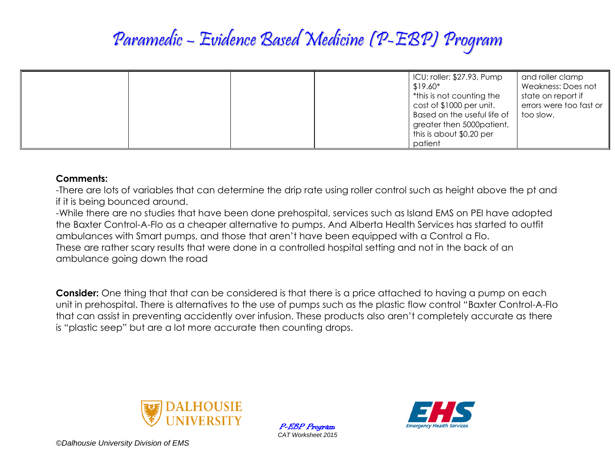## Paramedic – Evidence Based Medicine (P-EBP) Program

|  | ICU: roller: \$27.93, Pump<br>$$19.60*$<br>*this is not counting the<br>cost of \$1000 per unit.<br>Based on the useful life of<br>greater then 5000patient,<br>this is about \$0.20 per<br>patient | and roller clamp<br>Weakness: Does not<br>state on report if<br>errors were too fast or<br>too slow. |
|--|-----------------------------------------------------------------------------------------------------------------------------------------------------------------------------------------------------|------------------------------------------------------------------------------------------------------|
|--|-----------------------------------------------------------------------------------------------------------------------------------------------------------------------------------------------------|------------------------------------------------------------------------------------------------------|

### **Comments:**

-There are lots of variables that can determine the drip rate using roller control such as height above the pt and if it is being bounced around.

-While there are no studies that have been done prehospital, services such as Island EMS on PEI have adopted the Baxter Control-A-Flo as a cheaper alternative to pumps. And Alberta Health Services has started to outfit ambulances with Smart pumps, and those that aren't have been equipped with a Control a Flo. These are rather scary results that were done in a controlled hospital setting and not in the back of an ambulance going down the road

**Consider:** One thing that that can be considered is that there is a price attached to having a pump on each unit in prehospital. There is alternatives to the use of pumps such as the plastic flow control "Baxter Control-A-Flo that can assist in preventing accidently over infusion. These products also aren't completely accurate as there is "plastic seep" but are a lot more accurate then counting drops.



P-EBP Program *CAT Worksheet 2015*